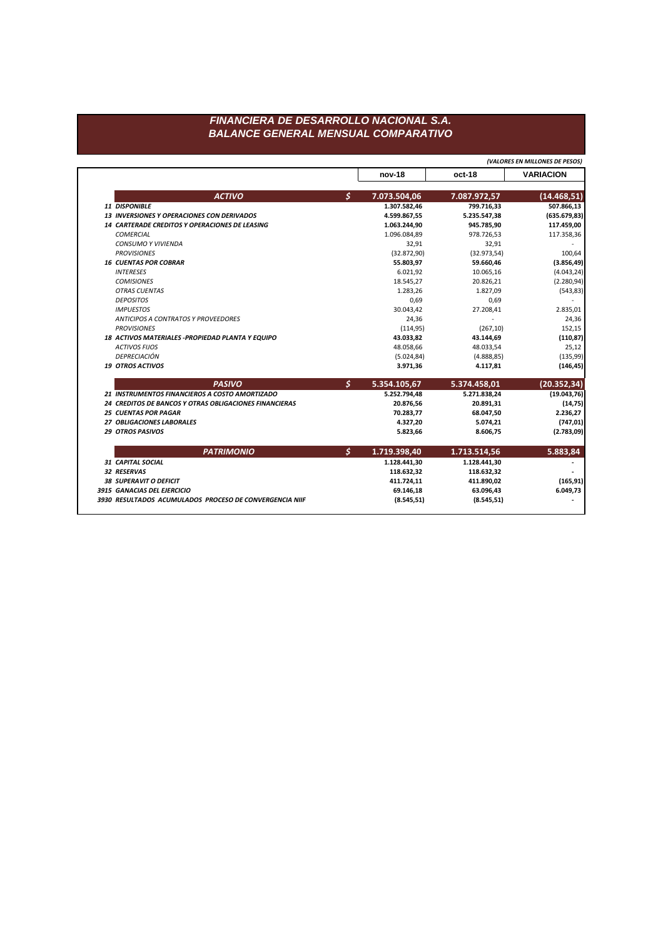**nov-18 oct-18 VARIACION** *ACTIVO \$* **7.073.504,06 7.087.972,57 (14.468,51)** *11 DISPONIBLE* **1.307.582,46 799.716,33 507.866,13** *13 INVERSIONES Y OPERACIONES CON DERIVADOS* **4.599.867,55 5.235.547,38 (635.679,83)** *14 CARTERADE CREDITOS Y OPERACIONES DE LEASING* **1.063.244,90 945.785,90 117.459,00** *COMERCIAL* 1.096.084,89 978.726,53 117.358,36 *CONSUMO Y VIVIENDA* 32,91 32,91 - *PROVISIONES* (32.872,90) (32.973,54) 100,64 *16 CUENTAS POR COBRAR* **55.803,97 59.660,46 (3.856,49)** *INTERESES* 6.021,92 10.065,16 (4.043,24) *COMISIONES* 18.545,27 20.826,21 (2.280,94) *OTRAS CUENTAS* 1.283,26 1.827,09 (543,83) *DEPOSITOS* 0,69 0,69 - *IMPUESTOS* 30.043,42 27.208,41 2.835,01 *ANTICIPOS A CONTRATOS Y PROVEEDORES* 24,36 - 24,36 *PROVISIONES* (114,95) (267,10) 152,15 *18 ACTIVOS MATERIALES -PROPIEDAD PLANTA Y EQUIPO* **43.033,82 43.144,69 (110,87)** *ACTIVOS FIJOS* 48.058,66 48.033,54 25,12 *DEPRECIACIÓN* (5.024,84) (4.888,85) (135,99) *19 OTROS ACTIVOS* **3.971,36 4.117,81 (146,45)** *PASIVO \$* **5.354.105,67 5.374.458,01 (20.352,34)** *21 INSTRUMENTOS FINANCIEROS A COSTO AMORTIZADO* **5.252.794,48 5.271.838,24 (19.043,76)** *24 CREDITOS DE BANCOS Y OTRAS OBLIGACIONES FINANCIERAS* **20.876,56 20.891,31 (14,75)** *25 CUENTAS POR PAGAR* **70.283,77 68.047,50 2.236,27** *27 OBLIGACIONES LABORALES* **4.327,20 5.074,21 (747,01)** *29 OTROS PASIVOS* **5.823,66 8.606,75 (2.783,09)** *PATRIMONIO \$* **1.719.398,40 1.713.514,56 5.883,84** *31 CAPITAL SOCIAL* **1.128.441,30 1.128.441,30 -** *32 RESERVAS* **118.632,32 118.632,32 -** *38 SUPERAVIT O DEFICIT* **411.724,11 411.890,02 (165,91)** *3915 GANACIAS DEL EJERCICIO* **69.146,18 63.096,43 6.049,73** *3930 RESULTADOS ACUMULADOS PROCESO DE CONVERGENCIA NIIF* **(8.545,51) (8.545,51) -**

*(VALORES EN MILLONES DE PESOS)*

## *FINANCIERA DE DESARROLLO NACIONAL S.A. BALANCE GENERAL MENSUAL COMPARATIVO*